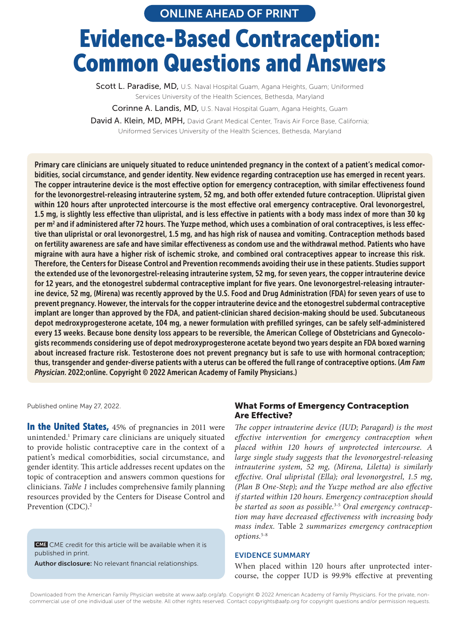ONLINE AHEAD OF PRINT

# Evidence-Based Contraception: Common Questions and Answers

Scott L. Paradise, MD, U.S. Naval Hospital Guam, Agana Heights, Guam; Uniformed Services University of the Health Sciences, Bethesda, Maryland Corinne A. Landis, MD, U.S. Naval Hospital Guam, Agana Heights, Guam David A. Klein, MD, MPH, David Grant Medical Center, Travis Air Force Base, California; Uniformed Services University of the Health Sciences, Bethesda, Maryland

Primary care clinicians are uniquely situated to reduce unintended pregnancy in the context of a patient's medical comorbidities, social circumstance, and gender identity. New evidence regarding contraception use has emerged in recent years. The copper intrauterine device is the most effective option for emergency contraception, with similar effectiveness found for the levonorgestrel-releasing intrauterine system, 52 mg, and both offer extended future contraception. Ulipristal given within 120 hours after unprotected intercourse is the most effective oral emergency contraceptive. Oral levonorgestrel, 1.5 mg, is slightly less effective than ulipristal, and is less effective in patients with a body mass index of more than 30 kg per m<sup>2</sup> and if administered after 72 hours. The Yuzpe method, which uses a combination of oral contraceptives, is less effective than ulipristal or oral levonorgestrel, 1.5 mg, and has high risk of nausea and vomiting. Contraception methods based on fertility awareness are safe and have similar effectiveness as condom use and the withdrawal method. Patients who have migraine with aura have a higher risk of ischemic stroke, and combined oral contraceptives appear to increase this risk. Therefore, the Centers for Disease Control and Prevention recommends avoiding their use in these patients. Studies support the extended use of the levonorgestrel-releasing intrauterine system, 52 mg, for seven years, the copper intrauterine device for 12 years, and the etonogestrel subdermal contraceptive implant for five years. One levonorgestrel-releasing intrauterine device, 52 mg, (Mirena) was recently approved by the U.S. Food and Drug Administration (FDA) for seven years of use to prevent pregnancy. However, the intervals for the copper intrauterine device and the etonogestrel subdermal contraceptive implant are longer than approved by the FDA, and patient-clinician shared decision-making should be used. Subcutaneous depot medroxyprogesterone acetate, 104 mg, a newer formulation with prefilled syringes, can be safely self-administered every 13 weeks. Because bone density loss appears to be reversible, the American College of Obstetricians and Gynecologists recommends considering use of depot medroxyprogesterone acetate beyond two years despite an FDA boxed warning about increased fracture risk. Testosterone does not prevent pregnancy but is safe to use with hormonal contraception; thus, transgender and gender-diverse patients with a uterus can be offered the full range of contraceptive options. (*Am Fam Physician*. 2022;online. Copyright © 2022 American Academy of Family Physicians.)

Published online May 27, 2022.

In the United States, 45% of pregnancies in 2011 were unintended.1 Primary care clinicians are uniquely situated to provide holistic contraceptive care in the context of a patient's medical comorbidities, social circumstance, and gender identity. This article addresses recent updates on the topic of contraception and answers common questions for clinicians. *Table 1* includes comprehensive family planning resources provided by the Centers for Disease Control and Prevention (CDC).<sup>2</sup>

**CME** CME credit for this article will be available when it is **CME** Create for any article with be available when it published in print. pas con service in page XX.

**Author disclosure:** No relevant financial relationships.

#### What Forms of Emergency Contraception Are Effective?

*The copper intrauterine device (IUD; Paragard) is the most effective intervention for emergency contraception when placed within 120 hours of unprotected intercourse. A large single study suggests that the levonorgestrel-releasing intrauterine system, 52 mg, (Mirena, Liletta) is similarly effective. Oral ulipristal (Ella); oral levonorgestrel, 1.5 mg, (Plan B One-Step); and the Yuzpe method are also effective if started within 120 hours. Emergency contraception should be started as soon as possible.*3-5 *Oral emergency contraception may have decreased effectiveness with increasing body mass index.* Table 2 *summarizes emergency contraception options.*5-8

#### EVIDENCE SUMMARY

**EVIDENCE SUMMARY**<br> **EVIDENCE SUMMARY**<br> **Author disclosure:** No relevant financial relationships.<br> **EVIDENCE SUMMARY**<br>
When placed within 120 hours after unprotected inter-<br>
course, the copper IUD is 99.9% effective at pre When placed within 120 hours after unprotected intercourse, the copper IUD is 99.9% effective at preventing

commercial use of one individual user of the website. All other rights reserved. Contact copyrights@aafp.org for copyright questions and/or permission requests.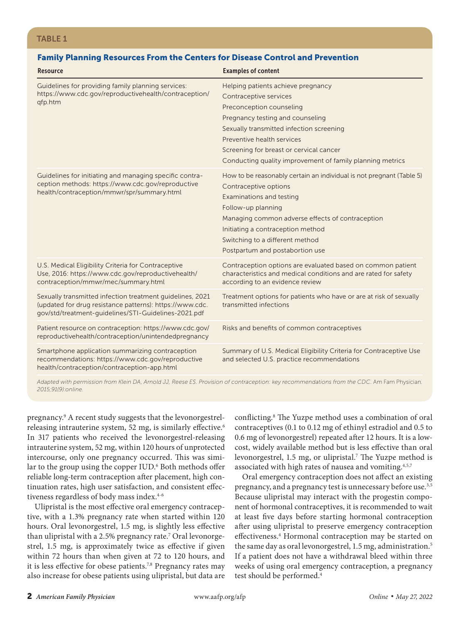## Family Planning Resources From the Centers for Disease Control and Prevention

| <b>Resource</b>                                                                                                                                                               | <b>Examples of content</b>                                                                                                                                                                                                                                                                                     |
|-------------------------------------------------------------------------------------------------------------------------------------------------------------------------------|----------------------------------------------------------------------------------------------------------------------------------------------------------------------------------------------------------------------------------------------------------------------------------------------------------------|
| Guidelines for providing family planning services:<br>https://www.cdc.gov/reproductivehealth/contraception/<br>qfp.htm                                                        | Helping patients achieve pregnancy<br>Contraceptive services<br>Preconception counseling<br>Pregnancy testing and counseling<br>Sexually transmitted infection screening<br>Preventive health services<br>Screening for breast or cervical cancer<br>Conducting quality improvement of family planning metrics |
| Guidelines for initiating and managing specific contra-<br>ception methods: https://www.cdc.gov/reproductive<br>health/contraception/mmwr/spr/summary.html                    | How to be reasonably certain an individual is not pregnant (Table 5)<br>Contraceptive options<br>Examinations and testing<br>Follow-up planning<br>Managing common adverse effects of contraception<br>Initiating a contraception method<br>Switching to a different method<br>Postpartum and postabortion use |
| U.S. Medical Eligibility Criteria for Contraceptive<br>Use, 2016: https://www.cdc.gov/reproductivehealth/<br>contraception/mmwr/mec/summary.html                              | Contraception options are evaluated based on common patient<br>characteristics and medical conditions and are rated for safety<br>according to an evidence review                                                                                                                                              |
| Sexually transmitted infection treatment quidelines, 2021<br>(updated for drug resistance patterns): https://www.cdc.<br>gov/std/treatment-guidelines/STI-Guidelines-2021.pdf | Treatment options for patients who have or are at risk of sexually<br>transmitted infections                                                                                                                                                                                                                   |
| Patient resource on contraception: https://www.cdc.gov/<br>reproductivehealth/contraception/unintendedpregnancy                                                               | Risks and benefits of common contraceptives                                                                                                                                                                                                                                                                    |
| Smartphone application summarizing contraception<br>recommendations: https://www.cdc.gov/reproductive<br>health/contraception/contraception-app.html                          | Summary of U.S. Medical Eligibility Criteria for Contraceptive Use<br>and selected U.S. practice recommendations                                                                                                                                                                                               |

*Adapted with permission from Klein DA, Arnold JJ, Reese ES. Provision of contraception: key recommendations from the CDC.* Am Fam Physician*. 2015;91(9):online.*

pregnancy.9 A recent study suggests that the levonorgestrelreleasing intrauterine system, 52 mg, is similarly effective.<sup>6</sup> In 317 patients who received the levonorgestrel-releasing intrauterine system, 52 mg, within 120 hours of unprotected intercourse, only one pregnancy occurred. This was similar to the group using the copper IUD.<sup>6</sup> Both methods offer reliable long-term contraception after placement, high continuation rates, high user satisfaction, and consistent effectiveness regardless of body mass index.<sup>4-6</sup>

Ulipristal is the most effective oral emergency contraceptive, with a 1.3% pregnancy rate when started within 120 hours. Oral levonorgestrel, 1.5 mg, is slightly less effective than ulipristal with a 2.5% pregnancy rate.7 Oral levonorgestrel, 1.5 mg, is approximately twice as effective if given within 72 hours than when given at 72 to 120 hours, and it is less effective for obese patients.<sup>7,8</sup> Pregnancy rates may also increase for obese patients using ulipristal, but data are

conflicting.8 The Yuzpe method uses a combination of oral contraceptives (0.1 to 0.12 mg of ethinyl estradiol and 0.5 to 0.6 mg of levonorgestrel) repeated after 12 hours. It is a lowcost, widely available method but is less effective than oral levonorgestrel, 1.5 mg, or ulipristal.<sup>7</sup> The Yuzpe method is associated with high rates of nausea and vomiting.4,5,7

Oral emergency contraception does not affect an existing pregnancy, and a pregnancy test is unnecessary before use.<sup>3,5</sup> Because ulipristal may interact with the progestin component of hormonal contraceptives, it is recommended to wait at least five days before starting hormonal contraception after using ulipristal to preserve emergency contraception effectiveness.<sup>4</sup> Hormonal contraception may be started on the same day as oral levonorgestrel, 1.5 mg, administration.<sup>5</sup> If a patient does not have a withdrawal bleed within three weeks of using oral emergency contraception, a pregnancy test should be performed.4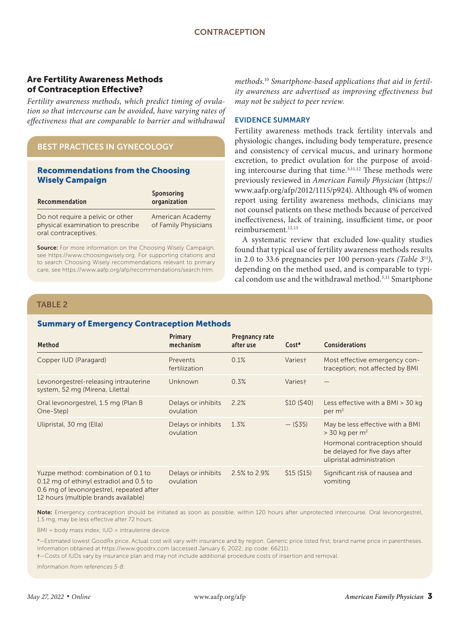# Are Fertility Awareness Methods of Contraception Effective?

*Fertility awareness methods, which predict timing of ovulation so that intercourse can be avoided, have varying rates of effectiveness that are comparable to barrier and withdrawal* 

# BEST PRACTICES IN GYNECOLOGY

#### Recommendations from the Choosing Wisely Campaign

| Recommendation                                                        | Sponsoring<br>organization               |
|-----------------------------------------------------------------------|------------------------------------------|
| Do not require a pelvic or other<br>physical examination to prescribe | American Academy<br>of Family Physicians |
| oral contraceptives.                                                  |                                          |

Source: For more information on the Choosing Wisely Campaign. see https://www.choosingwisely.org. For supporting citations and to search Choosing Wisely recommendations relevant to primary care, see https://www.aafp.org/afp/recommendations/search.htm.

*methods.*<sup>10</sup> *Smartphone-based applications that aid in fertility awareness are advertised as improving effectiveness but may not be subject to peer review.*

#### EVIDENCE SUMMARY

Fertility awareness methods track fertility intervals and physiologic changes, including body temperature, presence and consistency of cervical mucus, and urinary hormone excretion, to predict ovulation for the purpose of avoiding intercourse during that time.5,11,12 These methods were previously reviewed in *American Family Physician* (https:// www.aafp.org/afp/2012/1115/p924). Although 4% of women report using fertility awareness methods, clinicians may not counsel patients on these methods because of perceived ineffectiveness, lack of training, insufficient time, or poor reimbursement.12,13

A systematic review that excluded low-quality studies found that typical use of fertility awareness methods results in 2.0 to 33.6 pregnancies per 100 person-years *(Table 3*<sup>11</sup>*)*, depending on the method used, and is comparable to typical condom use and the withdrawal method.<sup>5,11</sup> Smartphone

## TABLE 2

## Summary of Emergency Contraception Methods

| <b>Method</b>                                                                                                                                                      | Primary<br>mechanism            | <b>Pregnancy rate</b><br>after use | Cost*      | <b>Considerations</b>                                                                                                                                            |
|--------------------------------------------------------------------------------------------------------------------------------------------------------------------|---------------------------------|------------------------------------|------------|------------------------------------------------------------------------------------------------------------------------------------------------------------------|
| Copper IUD (Paragard)                                                                                                                                              | Prevents<br>fertilization       | 0.1%                               | Varies†    | Most effective emergency con-<br>traception; not affected by BMI                                                                                                 |
| Levonorgestrel-releasing intrauterine<br>system, 52 mg (Mirena, Liletta)                                                                                           | Unknown                         | 0.3%                               | Varies†    |                                                                                                                                                                  |
| Oral levonorgestrel, 1.5 mg (Plan B<br>One-Step)                                                                                                                   | Delays or inhibits<br>ovulation | 2.2%                               | \$10(540)  | Less effective with a $BMI > 30$ kg<br>per $m2$                                                                                                                  |
| Ulipristal, 30 mg (Ella)                                                                                                                                           | Delays or inhibits<br>ovulation | 1.3%                               | $-$ (\$35) | May be less effective with a BMI<br>$>$ 30 kg per m <sup>2</sup><br>Hormonal contraception should<br>be delayed for five days after<br>ulipristal administration |
| Yuzpe method: combination of 0.1 to<br>0.12 mg of ethinyl estradiol and 0.5 to<br>0.6 mg of levonorgestrel, repeated after<br>12 hours (multiple brands available) | Delays or inhibits<br>ovulation | 2.5% to 2.9%                       | \$15(515)  | Significant risk of nausea and<br>vomiting                                                                                                                       |

Note: Emergency contraception should be initiated as soon as possible, within 120 hours after unprotected intercourse. Oral levonorgestrel, 1.5 mg, may be less effective after 72 hours.

BMI = body mass index; IUD = intrauterine device.

\*—Estimated lowest GoodRx price. Actual cost will vary with insurance and by region. Generic price listed first; brand name price in parentheses. Information obtained at https://www.goodrx.com (accessed January 6, 2022; zip code: 66211).

†—Costs of IUDs vary by insurance plan and may not include additional procedure costs of insertion and removal.

*Information from references 5-8.*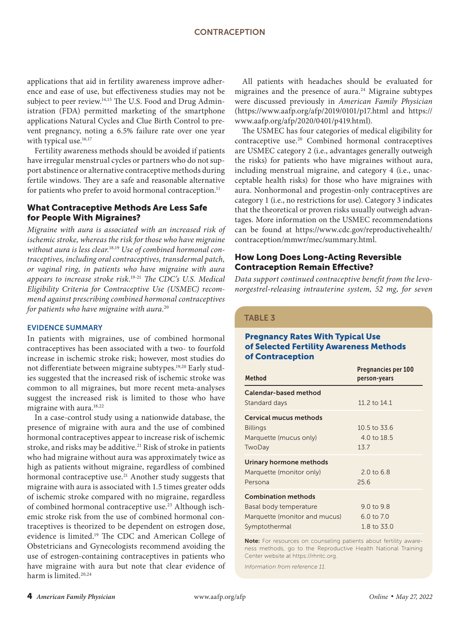applications that aid in fertility awareness improve adherence and ease of use, but effectiveness studies may not be subject to peer review.<sup>14,15</sup> The U.S. Food and Drug Administration (FDA) permitted marketing of the smartphone applications Natural Cycles and Clue Birth Control to prevent pregnancy, noting a 6.5% failure rate over one year with typical use.<sup>16,17</sup>

Fertility awareness methods should be avoided if patients have irregular menstrual cycles or partners who do not support abstinence or alternative contraceptive methods during fertile windows. They are a safe and reasonable alternative for patients who prefer to avoid hormonal contraception.<sup>11</sup>

# What Contraceptive Methods Are Less Safe for People With Migraines?

*Migraine with aura is associated with an increased risk of ischemic stroke, whereas the risk for those who have migraine without aura is less clear.*18,19 *Use of combined hormonal contraceptives, including oral contraceptives, transdermal patch, or vaginal ring, in patients who have migraine with aura appears to increase stroke risk.*19-21 *The CDC's U.S. Medical Eligibility Criteria for Contraceptive Use (USMEC) recommend against prescribing combined hormonal contraceptives for patients who have migraine with aura.*<sup>20</sup>

#### EVIDENCE SUMMARY

In patients with migraines, use of combined hormonal contraceptives has been associated with a two- to fourfold increase in ischemic stroke risk; however, most studies do not differentiate between migraine subtypes.<sup>19,20</sup> Early studies suggested that the increased risk of ischemic stroke was common to all migraines, but more recent meta-analyses suggest the increased risk is limited to those who have migraine with aura.<sup>18,22</sup>

In a case-control study using a nationwide database, the presence of migraine with aura and the use of combined hormonal contraceptives appear to increase risk of ischemic stroke, and risks may be additive.<sup>21</sup> Risk of stroke in patients who had migraine without aura was approximately twice as high as patients without migraine, regardless of combined hormonal contraceptive use.<sup>21</sup> Another study suggests that migraine with aura is associated with 1.5 times greater odds of ischemic stroke compared with no migraine, regardless of combined hormonal contraceptive use.<sup>23</sup> Although ischemic stroke risk from the use of combined hormonal contraceptives is theorized to be dependent on estrogen dose, evidence is limited.19 The CDC and American College of Obstetricians and Gynecologists recommend avoiding the use of estrogen-containing contraceptives in patients who have migraine with aura but note that clear evidence of harm is limited.20,24

All patients with headaches should be evaluated for migraines and the presence of aura. $24$  Migraine subtypes were discussed previously in *American Family Physician* (https://www.aafp.org/afp/2019/0101/p17.html and https:// www.aafp.org/afp/2020/0401/p419.html).

The USMEC has four categories of medical eligibility for contraceptive use.20 Combined hormonal contraceptives are USMEC category 2 (i.e., advantages generally outweigh the risks) for patients who have migraines without aura, including menstrual migraine, and category 4 (i.e., unacceptable health risks) for those who have migraines with aura. Nonhormonal and progestin-only contraceptives are category 1 (i.e., no restrictions for use). Category 3 indicates that the theoretical or proven risks usually outweigh advantages. More information on the USMEC recommendations can be found at https://www.cdc.gov/reproductivehealth/ contraception/mmwr/mec/summary.html.

## How Long Does Long-Acting Reversible Contraception Remain Effective?

*Data support continued contraceptive benefit from the levonorgestrel-releasing intrauterine system, 52 mg, for seven* 

#### TABLE 3

## Pregnancy Rates With Typical Use of Selected Fertility Awareness Methods of Contraception

| <b>Method</b>                 | <b>Pregnancies per 100</b><br>person-years |
|-------------------------------|--------------------------------------------|
| Calendar-based method         |                                            |
| Standard days                 | 11.2 to 14.1                               |
| Cervical mucus methods        |                                            |
| <b>Billings</b>               | 10.5 to 33.6                               |
| Marquette (mucus only)        | 4.0 to $18.5$                              |
| TwoDay                        | 13.7                                       |
| Urinary hormone methods       |                                            |
| Marquette (monitor only)      | $2.0 \text{ to } 6.8$                      |
| Persona                       | 25.6                                       |
| <b>Combination methods</b>    |                                            |
| Basal body temperature        | $9.0 \text{ to } 9.8$                      |
| Marquette (monitor and mucus) | $6.0 \text{ to } 7.0$                      |
| Symptothermal                 | 1.8 to 33.0                                |

Note: For resources on counseling patients about fertility awareness methods, go to the Reproductive Health National Training Center website at https://rhntc.org.

*Information from reference 11.*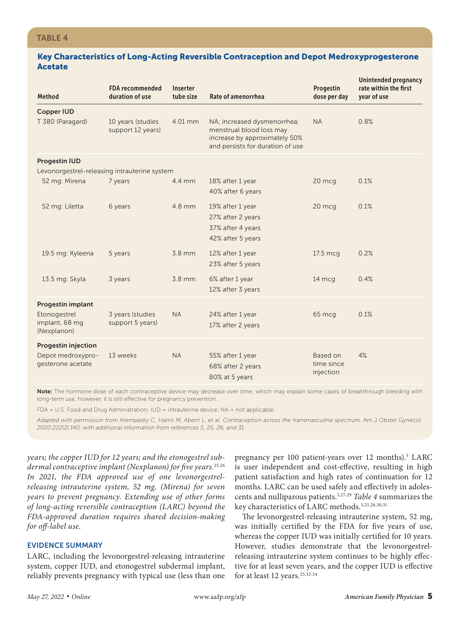#### Key Characteristics of Long-Acting Reversible Contraception and Depot Medroxyprogesterone Acetate

| <b>Method</b>                                                        | <b>FDA recommended</b><br>duration of use | Inserter<br>tube size | Rate of amenorrhea                                                                                                           | Progestin<br>dose per day           | Unintended pregnancy<br>rate within the first<br>year of use |
|----------------------------------------------------------------------|-------------------------------------------|-----------------------|------------------------------------------------------------------------------------------------------------------------------|-------------------------------------|--------------------------------------------------------------|
| <b>Copper IUD</b>                                                    |                                           |                       |                                                                                                                              |                                     |                                                              |
| T 380 (Paragard)                                                     | 10 years (studies<br>support 12 years)    | 4.01 mm               | NA; increased dysmenorrhea;<br>menstrual blood loss may<br>increase by approximately 50%<br>and persists for duration of use | <b>NA</b>                           | 0.8%                                                         |
| <b>Progestin IUD</b>                                                 |                                           |                       |                                                                                                                              |                                     |                                                              |
| Levonorgestrel-releasing intrauterine system                         |                                           |                       |                                                                                                                              |                                     |                                                              |
| 52 mg: Mirena                                                        | 7 years                                   | 4.4 mm                | 18% after 1 year<br>40% after 6 years                                                                                        | 20 mcg                              | 0.1%                                                         |
| 52 mg: Liletta                                                       | 6 years                                   | 4.8 mm                | 19% after 1 year<br>27% after 2 years<br>37% after 4 years<br>42% after 5 years                                              | 20 mcg                              | 0.1%                                                         |
| 19.5 mg: Kyleena                                                     | 5 years                                   | 3.8 mm                | 12% after 1 year<br>23% after 5 years                                                                                        | 17.5 mcg                            | 0.2%                                                         |
| 13.5 mg: Skyla                                                       | 3 years                                   | $3.8$ mm              | 6% after 1 year<br>12% after 3 years                                                                                         | 14 mcg                              | 0.4%                                                         |
| <b>Progestin implant</b>                                             |                                           |                       |                                                                                                                              |                                     |                                                              |
| Etonogestrel<br>implant, 68 mg<br>(Nexplanon)                        | 3 years (studies<br>support 5 years)      | <b>NA</b>             | 24% after 1 year<br>17% after 2 years                                                                                        | 65 mcg                              | 0.1%                                                         |
| <b>Progestin injection</b><br>Depot medroxypro-<br>gesterone acetate | 13 weeks                                  | <b>NA</b>             | 55% after 1 year<br>68% after 2 years<br>80% at 5 years                                                                      | Based on<br>time since<br>injection | 4%                                                           |

Note: The hormone dose of each contraceptive device may decrease over time, which may explain some cases of breakthrough bleeding with long-term use; however, it is still effective for pregnancy prevention.

FDA = U.S. Food and Drug Administration; IUD = intrauterine device; NA = not applicable.

Adapted with permission from Krempasky C, Harris M, Abern L, et al. Contraception across the transmasculine spectrum. Am J Obstet Gynecol. *2020;222(2):140, with additional information from references 5, 25, 26, and 31.*

*years; the copper IUD for 12 years; and the etonogestrel subdermal contraceptive implant (Nexplanon) for five years.*25,26 *In 2021, the FDA approved use of one levonorgestrelreleasing intrauterine system, 52 mg, (Mirena) for seven years to prevent pregnancy. Extending use of other forms of long-acting reversible contraception (LARC) beyond the FDA-approved duration requires shared decision-making for off-label use.*

# EVIDENCE SUMMARY

LARC, including the levonorgestrel-releasing intrauterine system, copper IUD, and etonogestrel subdermal implant, reliably prevents pregnancy with typical use (less than one

pregnancy per 100 patient-years over 12 months).<sup>5</sup> LARC is user independent and cost-effective, resulting in high patient satisfaction and high rates of continuation for 12 months. LARC can be used safely and effectively in adolescents and nulliparous patients.5,27-29 *Table 4* summarizes the key characteristics of LARC methods.<sup>5,25,26,30,31</sup>

The levonorgestrel-releasing intrauterine system, 52 mg, was initially certified by the FDA for five years of use, whereas the copper IUD was initially certified for 10 years. However, studies demonstrate that the levonorgestrelreleasing intrauterine system continues to be highly effective for at least seven years, and the copper IUD is effective for at least 12 years.<sup>25,32-34</sup>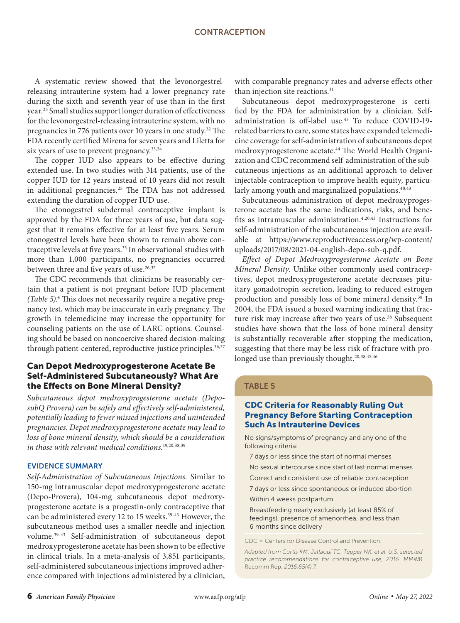A systematic review showed that the levonorgestrelreleasing intrauterine system had a lower pregnancy rate during the sixth and seventh year of use than in the first year.25 Small studies support longer duration of effectiveness for the levonorgestrel-releasing intrauterine system, with no pregnancies in 776 patients over 10 years in one study.<sup>32</sup> The FDA recently certified Mirena for seven years and Liletta for six years of use to prevent pregnancy.<sup>33,34</sup>

The copper IUD also appears to be effective during extended use. In two studies with 314 patients, use of the copper IUD for 12 years instead of 10 years did not result in additional pregnancies.<sup>25</sup> The FDA has not addressed extending the duration of copper IUD use.

The etonogestrel subdermal contraceptive implant is approved by the FDA for three years of use, but data suggest that it remains effective for at least five years. Serum etonogestrel levels have been shown to remain above contraceptive levels at five years.<sup>35</sup> In observational studies with more than 1,000 participants, no pregnancies occurred between three and five years of use.<sup>26,35</sup>

The CDC recommends that clinicians be reasonably certain that a patient is not pregnant before IUD placement *(Table 5)*. 4 This does not necessarily require a negative pregnancy test, which may be inaccurate in early pregnancy. The growth in telemedicine may increase the opportunity for counseling patients on the use of LARC options. Counseling should be based on noncoercive shared decision-making through patient-centered, reproductive-justice principles.<sup>36,37</sup>

# Can Depot Medroxyprogesterone Acetate Be Self-Administered Subcutaneously? What Are the Effects on Bone Mineral Density?

*Subcutaneous depot medroxyprogesterone acetate (DeposubQ Provera) can be safely and effectively self-administered, potentially leading to fewer missed injections and unintended pregnancies. Depot medroxyprogesterone acetate may lead to loss of bone mineral density, which should be a consideration in those with relevant medical conditions.*19,20,38,39

#### EVIDENCE SUMMARY

*Self-Administration of Subcutaneous Injections.* Similar to 150-mg intramuscular depot medroxyprogesterone acetate (Depo-Provera), 104-mg subcutaneous depot medroxyprogesterone acetate is a progestin-only contraceptive that can be administered every 12 to 15 weeks.<sup>39-43</sup> However, the subcutaneous method uses a smaller needle and injection volume.39-43 Self-administration of subcutaneous depot medroxyprogesterone acetate has been shown to be effective in clinical trials. In a meta-analysis of 3,851 participants, self-administered subcutaneous injections improved adherence compared with injections administered by a clinician,

with comparable pregnancy rates and adverse effects other than injection site reactions.<sup>31</sup>

Subcutaneous depot medroxyprogesterone is certified by the FDA for administration by a clinician. Selfadministration is off-label use.<sup>43</sup> To reduce COVID-19related barriers to care, some states have expanded telemedicine coverage for self-administration of subcutaneous depot medroxyprogesterone acetate.<sup>44</sup> The World Health Organization and CDC recommend self-administration of the subcutaneous injections as an additional approach to deliver injectable contraception to improve health equity, particularly among youth and marginalized populations.<sup>40,43</sup>

Subcutaneous administration of depot medroxyprogesterone acetate has the same indications, risks, and benefits as intramuscular administration.<sup>4,20,43</sup> Instructions for self-administration of the subcutaneous injection are available at https://www.reproductiveaccess.org/wp-content/ uploads/2017/08/2021-04-english-depo-sub-q.pdf.

*Effect of Depot Medroxyprogesterone Acetate on Bone Mineral Density.* Unlike other commonly used contraceptives, depot medroxyprogesterone acetate decreases pituitary gonadotropin secretion, leading to reduced estrogen production and possibly loss of bone mineral density.<sup>38</sup> In 2004, the FDA issued a boxed warning indicating that fracture risk may increase after two years of use.<sup>38</sup> Subsequent studies have shown that the loss of bone mineral density is substantially recoverable after stopping the medication, suggesting that there may be less risk of fracture with prolonged use than previously thought.<sup>20,38,45,46</sup>

#### TABLE 5

#### CDC Criteria for Reasonably Ruling Out Pregnancy Before Starting Contraception Such As Intrauterine Devices

No signs/symptoms of pregnancy and any one of the following criteria:

7 days or less since the start of normal menses

No sexual intercourse since start of last normal menses

Correct and consistent use of reliable contraception

7 days or less since spontaneous or induced abortion

Within 4 weeks postpartum

Breastfeeding nearly exclusively (at least 85% of feedings), presence of amenorrhea, and less than 6 months since delivery

CDC = Centers for Disease Control and Prevention.

*Adapted from Curtis KM, Jatlaoui TC, Tepper NK, et al. U.S. selected practice recommendations for contraceptive use, 2016.* MMWR Recomm Rep*. 2016;65(4):7.*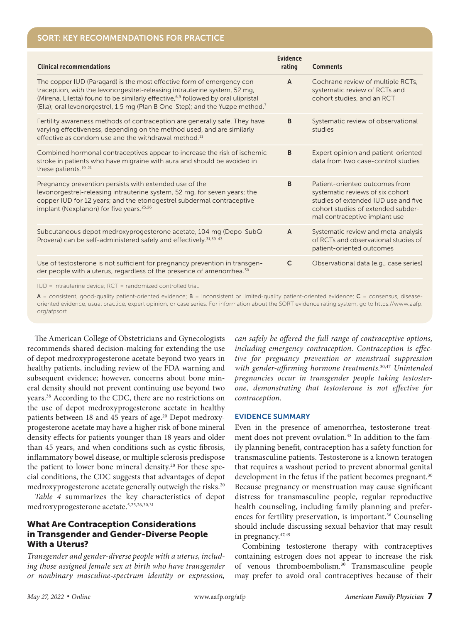# SORT: KEY RECOMMENDATIONS FOR PRACTICE

| <b>Clinical recommendations</b>                                                                                                                                                                                                                                                                                                                   | <b>Evidence</b><br>rating | <b>Comments</b>                                                                                                                                                                   |
|---------------------------------------------------------------------------------------------------------------------------------------------------------------------------------------------------------------------------------------------------------------------------------------------------------------------------------------------------|---------------------------|-----------------------------------------------------------------------------------------------------------------------------------------------------------------------------------|
| The copper IUD (Paragard) is the most effective form of emergency con-<br>traception, with the levonorgestrel-releasing intrauterine system, 52 mg,<br>(Mirena, Liletta) found to be similarly effective, <sup>6,9</sup> followed by oral ulipristal<br>(Ella); oral levonorgestrel, 1.5 mg (Plan B One-Step); and the Yuzpe method. <sup>7</sup> | A                         | Cochrane review of multiple RCTs,<br>systematic review of RCTs and<br>cohort studies, and an RCT                                                                                  |
| Fertility awareness methods of contraception are generally safe. They have<br>varying effectiveness, depending on the method used, and are similarly<br>effective as condom use and the withdrawal method. <sup>11</sup>                                                                                                                          | B                         | Systematic review of observational<br>studies                                                                                                                                     |
| Combined hormonal contraceptives appear to increase the risk of ischemic<br>stroke in patients who have migraine with aura and should be avoided in<br>these patients. <sup>19-21</sup>                                                                                                                                                           | B                         | Expert opinion and patient-oriented<br>data from two case-control studies                                                                                                         |
| Pregnancy prevention persists with extended use of the<br>levonorgestrel-releasing intrauterine system, 52 mg, for seven years; the<br>copper IUD for 12 years; and the etonogestrel subdermal contraceptive<br>implant (Nexplanon) for five years. <sup>25,26</sup>                                                                              | B                         | Patient-oriented outcomes from<br>systematic reviews of six cohort<br>studies of extended IUD use and five<br>cohort studies of extended subder-<br>mal contraceptive implant use |
| Subcutaneous depot medroxyprogesterone acetate, 104 mg (Depo-SubQ<br>Provera) can be self-administered safely and effectively. 31,39-43                                                                                                                                                                                                           | A                         | Systematic review and meta-analysis<br>of RCTs and observational studies of<br>patient-oriented outcomes                                                                          |
| Use of testosterone is not sufficient for pregnancy prevention in transgen-<br>der people with a uterus, regardless of the presence of amenorrhea. <sup>30</sup>                                                                                                                                                                                  | $\mathsf{C}$              | Observational data (e.g., case series)                                                                                                                                            |
| $\Box$ = intrauterine device: $\Box$ = randomized controlled trial                                                                                                                                                                                                                                                                                |                           |                                                                                                                                                                                   |

IUD = intrauterine device; RCT = randomized controlled trial.

 $A$  = consistent, good-quality patient-oriented evidence;  $B$  = inconsistent or limited-quality patient-oriented evidence;  $C$  = consensus, diseaseoriented evidence, usual practice, expert opinion, or case series. For information about the SORT evidence rating system, go to https://www.aafp. org/afpsort.

The American College of Obstetricians and Gynecologists recommends shared decision-making for extending the use of depot medroxyprogesterone acetate beyond two years in healthy patients, including review of the FDA warning and subsequent evidence; however, concerns about bone mineral density should not prevent continuing use beyond two years.38 According to the CDC, there are no restrictions on the use of depot medroxyprogesterone acetate in healthy patients between 18 and 45 years of age.<sup>20</sup> Depot medroxyprogesterone acetate may have a higher risk of bone mineral density effects for patients younger than 18 years and older than 45 years, and when conditions such as cystic fibrosis, inflammatory bowel disease, or multiple sclerosis predispose the patient to lower bone mineral density.<sup>20</sup> For these special conditions, the CDC suggests that advantages of depot medroxyprogesterone acetate generally outweigh the risks.<sup>20</sup>

*Table 4* summarizes the key characteristics of depot medroxyprogesterone acetate.5,25,26,30,31

# What Are Contraception Considerations in Transgender and Gender-Diverse People With a Uterus?

*Transgender and gender-diverse people with a uterus, including those assigned female sex at birth who have transgender or nonbinary masculine-spectrum identity or expression,*  *can safely be offered the full range of contraceptive options, including emergency contraception. Contraception is effective for pregnancy prevention or menstrual suppression with gender-affirming hormone treatments.*30,47 *Unintended pregnancies occur in transgender people taking testosterone, demonstrating that testosterone is not effective for contraception.*

#### EVIDENCE SUMMARY

Even in the presence of amenorrhea, testosterone treatment does not prevent ovulation.<sup>48</sup> In addition to the family planning benefit, contraception has a safety function for transmasculine patients. Testosterone is a known teratogen that requires a washout period to prevent abnormal genital development in the fetus if the patient becomes pregnant.<sup>30</sup> Because pregnancy or menstruation may cause significant distress for transmasculine people, regular reproductive health counseling, including family planning and preferences for fertility preservation, is important.<sup>36</sup> Counseling should include discussing sexual behavior that may result in pregnancy.47,49

Combining testosterone therapy with contraceptives containing estrogen does not appear to increase the risk of venous thromboembolism.30 Transmasculine people may prefer to avoid oral contraceptives because of their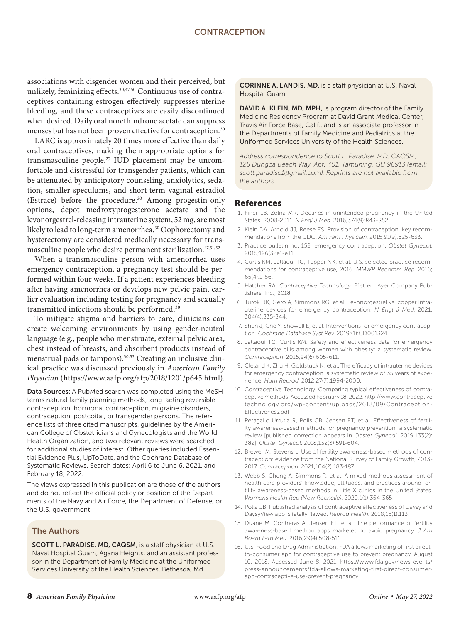associations with cisgender women and their perceived, but unlikely, feminizing effects.<sup>30,47,50</sup> Continuous use of contraceptives containing estrogen effectively suppresses uterine bleeding, and these contraceptives are easily discontinued when desired. Daily oral norethindrone acetate can suppress menses but has not been proven effective for contraception.<sup>30</sup>

LARC is approximately 20 times more effective than daily oral contraceptives, making them appropriate options for transmasculine people.27 IUD placement may be uncomfortable and distressful for transgender patients, which can be attenuated by anticipatory counseling, anxiolytics, sedation, smaller speculums, and short-term vaginal estradiol (Estrace) before the procedure.<sup>30</sup> Among progestin-only options, depot medroxyprogesterone acetate and the levonorgestrel-releasing intrauterine system, 52 mg, are most likely to lead to long-term amenorrhea.<sup>30</sup> Oophorectomy and hysterectomy are considered medically necessary for transmasculine people who desire permanent sterilization.<sup>47,51,52</sup>

When a transmasculine person with amenorrhea uses emergency contraception, a pregnancy test should be performed within four weeks. If a patient experiences bleeding after having amenorrhea or develops new pelvic pain, earlier evaluation including testing for pregnancy and sexually transmitted infections should be performed.30

To mitigate stigma and barriers to care, clinicians can create welcoming environments by using gender-neutral language (e.g., people who menstruate, external pelvic area, chest instead of breasts, and absorbent products instead of menstrual pads or tampons).<sup>30,53</sup> Creating an inclusive clinical practice was discussed previously in *American Family Physician* (https://www.aafp.org/afp/2018/1201/p645.html).

Data Sources: A PubMed search was completed using the MeSH terms natural family planning methods, long-acting reversible contraception, hormonal contraception, migraine disorders, contraception, postcoital, or transgender persons. The reference lists of three cited manuscripts, guidelines by the American College of Obstetricians and Gynecologists and the World Health Organization, and two relevant reviews were searched for additional studies of interest. Other queries included Essential Evidence Plus, UpToDate, and the Cochrane Database of Systematic Reviews. Search dates: April 6 to June 6, 2021, and February 18, 2022.

The views expressed in this publication are those of the authors and do not reflect the official policy or position of the Departments of the Navy and Air Force, the Department of Defense, or the U.S. government.

#### The Authors

SCOTT L. PARADISE, MD, CAQSM, is a staff physician at U.S. Naval Hospital Guam, Agana Heights, and an assistant professor in the Department of Family Medicine at the Uniformed Services University of the Health Sciences, Bethesda, Md.

CORINNE A. LANDIS, MD, is a staff physician at U.S. Naval Hospital Guam.

DAVID A. KLEIN, MD, MPH, is program director of the Family Medicine Residency Program at David Grant Medical Center, Travis Air Force Base, Calif., and is an associate professor in the Departments of Family Medicine and Pediatrics at the Uniformed Services University of the Health Sciences.

*Address correspondence to Scott L. Paradise, MD, CAQSM, 125 Dungca Beach Way, Apt. 401, Tamuning, GU 96913 (email: scott.paradise1@gmail.com). Reprints are not available from the authors.*

#### References

- 1. Finer LB, Zolna MR. Declines in unintended pregnancy in the United States, 2008-2011. *N Engl J Med*. 2016;374(9):843-852.
- 2. Klein DA, Arnold JJ, Reese ES. Provision of contraception: key recommendations from the CDC. *Am Fam Physician*. 2015;91(9):625-633.
- 3. Practice bulletin no. 152: emergency contraception. *Obstet Gynecol*. 2015;126(3):e1-e11.
- 4. Curtis KM, Jatlaoui TC, Tepper NK, et al. U.S. selected practice recommendations for contraceptive use, 2016. *MMWR Recomm Rep*. 2016; 65(4):1-66.
- 5. Hatcher RA. *Contraceptive Technology*. 21st ed. Ayer Company Publishers, Inc.; 2018.
- 6. Turok DK, Gero A, Simmons RG, et al. Levonorgestrel vs. copper intrauterine devices for emergency contraception. *N Engl J Med*. 2021; 384(4):335-344.
- 7. Shen J, Che Y, Showell E, et al. Interventions for emergency contraception. *Cochrane Database Syst Rev*. 2019;(1):CD001324.
- 8. Jatlaoui TC, Curtis KM. Safety and effectiveness data for emergency contraceptive pills among women with obesity: a systematic review. *Contraception*. 2016;94(6):605-611.
- 9. Cleland K, Zhu H, Goldstuck N, et al. The efficacy of intrauterine devices for emergency contraception: a systematic review of 35 years of experience. *Hum Reprod*. 2012;27(7):1994-2000.
- 10. Contraceptive Technology. Comparing typical effectiveness of contraceptive methods. Accessed February 18, 2022. http://www.contraceptive technology.org/wp-content/uploads/2013/09/Contraception-Effectiveness.pdf
- 11. Peragallo Urrutia R, Polis CB, Jensen ET, et al. Effectiveness of fertility awareness-based methods for pregnancy prevention: a systematic review [published correction appears in *Obstet Gynecol*. 2019;133(2): 382]. *Obstet Gynecol*. 2018;132(3):591-604.
- 12. Brewer M, Stevens L. Use of fertility awareness-based methods of contraception: evidence from the National Survey of Family Growth, 2013- 2017. *Contraception*. 2021;104(2):183-187.
- 13. Webb S, Cheng A, Simmons R, et al. A mixed-methods assessment of health care providers' knowledge, attitudes, and practices around fertility awareness-based methods in Title X clinics in the United States. *Womens Health Rep (New Rochelle)*. 2020;1(1):354-365.
- 14. Polis CB. Published analysis of contraceptive effectiveness of Daysy and DaysyView app is fatally flawed. *Reprod Health*. 2018;15(1):113.
- 15. Duane M, Contreras A, Jensen ET, et al. The performance of fertility awareness-based method apps marketed to avoid pregnancy. *J Am Board Fam Med*. 2016;29(4):508-511.
- 16. U.S. Food and Drug Administration. FDA allows marketing of first directto-consumer app for contraceptive use to prevent pregnancy. August 10, 2018. Accessed June 8, 2021. https://www.fda.gov/news-events/ press-announcements/fda-allows-marketing-first-direct-consumerapp-contraceptive-use-prevent-pregnancy